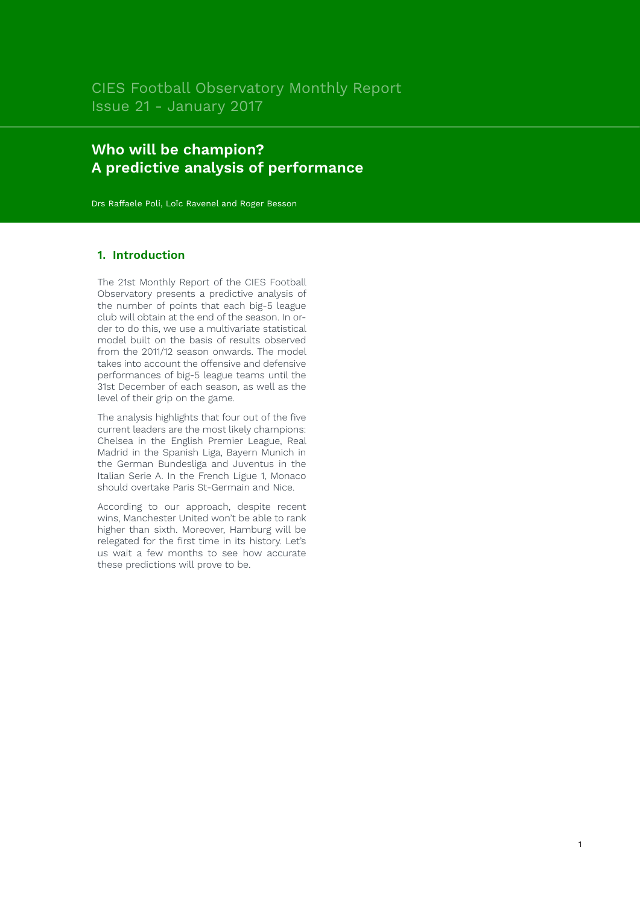# **Who will be champion? A predictive analysis of performance**

Drs Raffaele Poli, Loïc Ravenel and Roger Besson

# **1. Introduction**

The 21st Monthly Report of the CIES Football Observatory presents a predictive analysis of the number of points that each big-5 league club will obtain at the end of the season. In order to do this, we use a multivariate statistical model built on the basis of results observed from the 2011/12 season onwards. The model takes into account the offensive and defensive performances of big-5 league teams until the 31st December of each season, as well as the level of their grip on the game.

The analysis highlights that four out of the five current leaders are the most likely champions: Chelsea in the English Premier League, Real Madrid in the Spanish Liga, Bayern Munich in the German Bundesliga and Juventus in the Italian Serie A. In the French Ligue 1, Monaco should overtake Paris St-Germain and Nice.

According to our approach, despite recent wins, Manchester United won't be able to rank higher than sixth. Moreover, Hamburg will be relegated for the first time in its history. Let's us wait a few months to see how accurate these predictions will prove to be.

1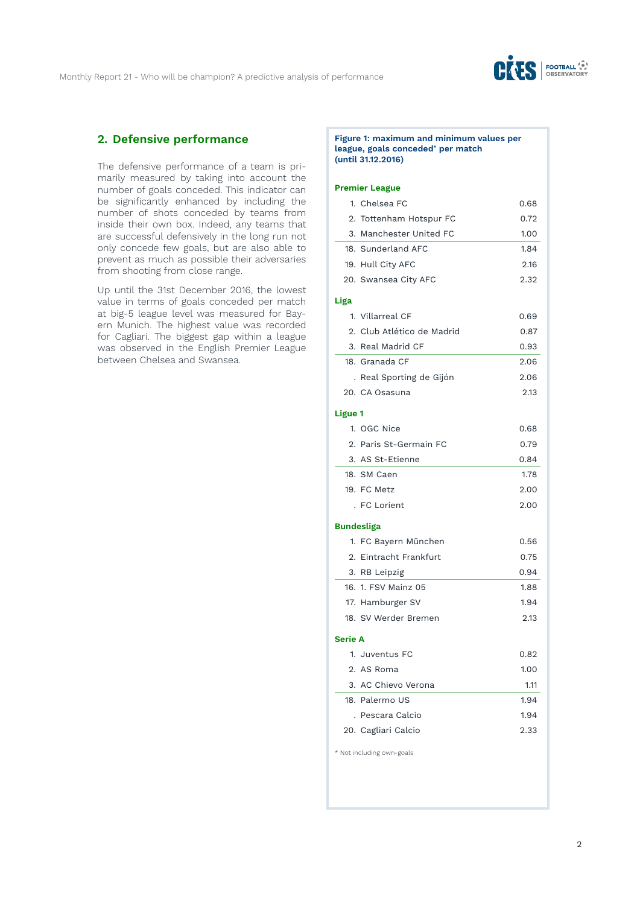

# **2. Defensive performance**

The defensive performance of a team is primarily measured by taking into account the number of goals conceded. This indicator can be significantly enhanced by including the number of shots conceded by teams from inside their own box. Indeed, any teams that are successful defensively in the long run not only concede few goals, but are also able to prevent as much as possible their adversaries from shooting from close range.

Up until the 31st December 2016, the lowest value in terms of goals conceded per match at big-5 league level was measured for Bayern Munich. The highest value was recorded for Cagliari. The biggest gap within a league was observed in the English Premier League between Chelsea and Swansea.

#### **Figure 1: maximum and minimum values per league, goals conceded\* per match (until 31.12.2016)**

### **Premier League**

| 1. Chelsea FC              | 0.68    |
|----------------------------|---------|
| 2. Tottenham Hotspur FC    | 0.72    |
| 3. Manchester United FC    | 1.00    |
| 18. Sunderland AFC         | 1.84    |
| 19. Hull City AFC          | 2.16    |
| 20. Swansea City AFC       | 2.32    |
|                            |         |
| 1. Villarreal CF           | 0.69    |
| 2. Club Atlético de Madrid | 0.87    |
| 3. Real Madrid CF          | 0.93    |
| 18. Granada CF             | 2.06    |
| . Real Sporting de Gijón   | 2.06    |
| 20. CA Osasuna             | 2.13    |
|                            |         |
| 1. OGC Nice                | 0.68    |
| 2. Paris St-Germain FC     | 0.79    |
| 3. AS St-Etienne           | 0.84    |
| 18. SM Caen                | 1.78    |
| 19. FC Metz                | 2.00    |
| . FC Lorient               | 2.00    |
| <b>Bundesliga</b>          |         |
| 1. FC Bayern München       | 0.56    |
| 2. Eintracht Frankfurt     | 0.75    |
| 3. RB Leipzig              | 0.94    |
| 16. 1. FSV Mainz 05        | 1.88    |
| 17. Hamburger SV           | 1.94    |
| 18. SV Werder Bremen       | 2.13    |
| <b>Serie A</b>             |         |
| 1. Juventus FC             | 0.82    |
| 2. AS Roma                 | 1.00    |
| 3. AC Chievo Verona        | 1.11    |
| 18. Palermo US             | 1.94    |
| . Pescara Calcio           | 1.94    |
| 20. Cagliari Calcio        | 2.33    |
|                            | Ligue 1 |

\* Not including own-goals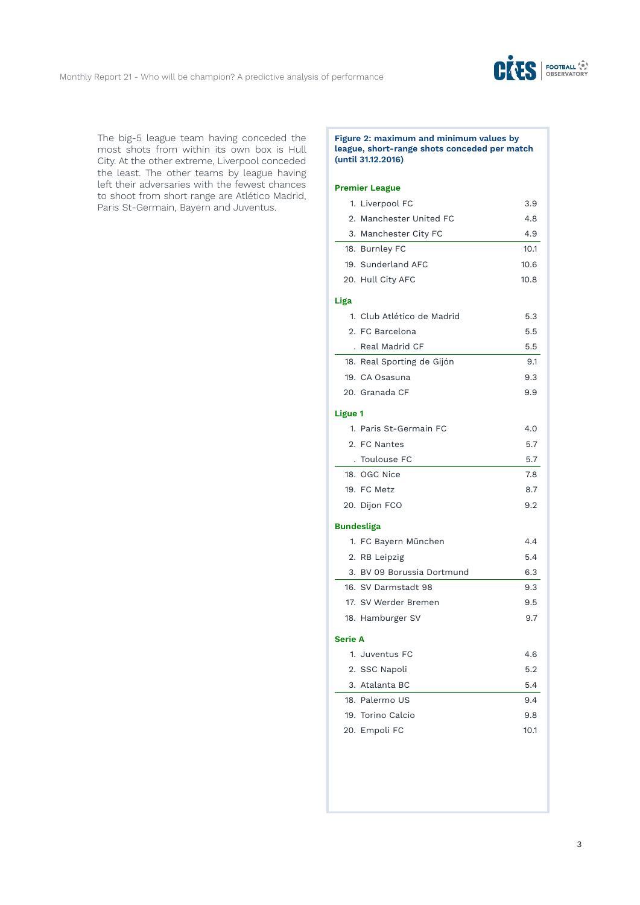

The big-5 league team having conceded the most shots from within its own box is Hull City. At the other extreme, Liverpool conceded the least. The other teams by league having left their adversaries with the fewest chances to shoot from short range are Atlético Madrid, Paris St-Germain, Bayern and Juventus.

### **Figure 2: maximum and minimum values by league, short-range shots conceded per match (until 31.12.2016)**

|                | 1. Liverpool FC            | 3.9  |
|----------------|----------------------------|------|
|                | 2. Manchester United FC    | 4.8  |
|                | 3. Manchester City FC      | 4.9  |
|                | 18. Burnley FC             | 10.1 |
|                | 19. Sunderland AFC         | 10.6 |
|                | 20. Hull City AFC          | 10.8 |
| Liga           |                            |      |
|                | 1. Club Atlético de Madrid | 5.3  |
|                | 2. FC Barcelona            | 5.5  |
|                | . Real Madrid CF           | 5.5  |
|                | 18. Real Sporting de Gijón | 9.1  |
|                | 19. CA Osasuna             | 9.3  |
|                | 20. Granada CF             | 9.9  |
| Ligue 1        |                            |      |
|                | 1. Paris St-Germain FC     | 4.0  |
|                | 2. FC Nantes               | 5.7  |
|                | . Toulouse FC              | 5.7  |
|                | 18. OGC Nice               | 7.8  |
|                | 19. FC Metz                | 8.7  |
|                | 20. Dijon FCO              | 9.2  |
|                | <b>Bundesliga</b>          |      |
|                | 1. FC Bayern München       | 4.4  |
|                | 2. RB Leipzig              | 5.4  |
|                | 3. BV 09 Borussia Dortmund | 6.3  |
|                | 16. SV Darmstadt 98        | 9.3  |
|                | 17. SV Werder Bremen       | 9.5  |
|                | 18. Hamburger SV           | 9.7  |
| <b>Serie A</b> |                            |      |
|                | 1. Juventus FC             | 4.6  |
|                | 2. SSC Napoli              | 5.2  |
|                | 3. Atalanta BC             | 5.4  |
|                | 18. Palermo US             | 9.4  |
|                | 19. Torino Calcio          | 9.8  |
|                | 20. Empoli FC              | 10.1 |
|                |                            |      |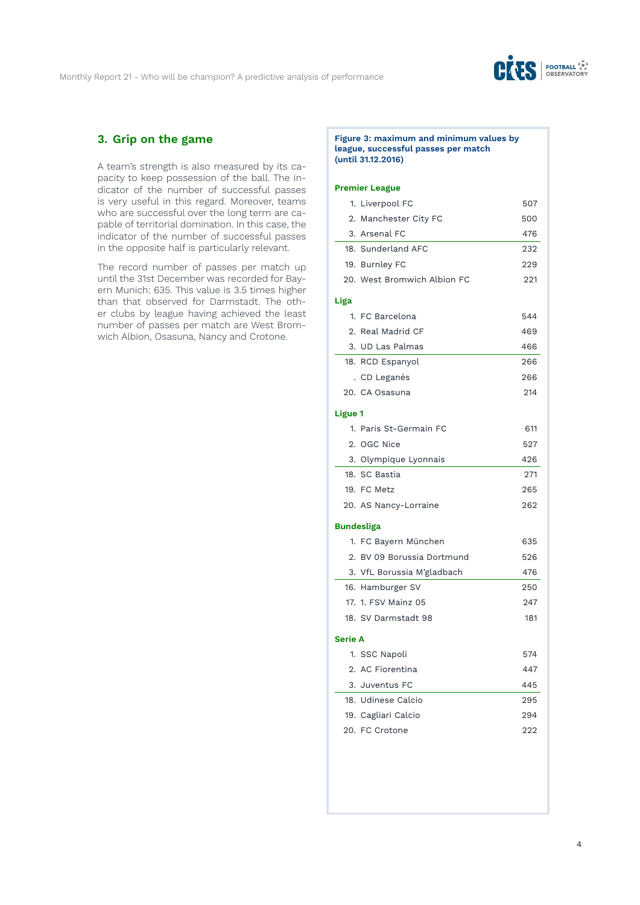

# **3. Grip on the game**

A team's strength is also measured by its capacity to keep possession of the ball. The indicator of the number of successful passes is very useful in this regard. Moreover, teams who are successful over the long term are capable of territorial domination. In this case, the indicator of the number of successful passes in the opposite half is particularly relevant.

The record number of passes per match up until the 31st December was recorded for Bayern Munich: 635. This value is 3.5 times higher than that observed for Darmstadt. The other clubs by league having achieved the least number of passes per match are West Bromwich Albion, Osasuna, Nancy and Crotone.

#### **Figure 3: maximum and minimum values by league, successful passes per match (until 31.12.2016)**

|                | 1. Liverpool FC             | 507 |
|----------------|-----------------------------|-----|
|                | 2. Manchester City FC       | 500 |
|                | 3. Arsenal FC               | 476 |
|                | 18. Sunderland AFC          | 232 |
|                | 19. Burnley FC              | 229 |
|                | 20. West Bromwich Albion FC | 221 |
| Liga           |                             |     |
|                | 1. FC Barcelona             | 544 |
|                | 2. Real Madrid CF           | 469 |
|                | 3. UD Las Palmas            | 466 |
|                | 18. RCD Espanyol            | 266 |
|                | . CD Leganés                | 266 |
|                | 20. CA Osasuna              | 214 |
| <b>Ligue 1</b> |                             |     |
|                | 1. Paris St-Germain FC      | 611 |
|                | 2. OGC Nice                 | 527 |
|                | 3. Olympique Lyonnais       | 426 |
|                | 18. SC Bastia               | 271 |
|                | 19. FC Metz                 | 265 |
|                | 20. AS Nancy-Lorraine       | 262 |
|                | <b>Bundesliga</b>           |     |
|                | 1. FC Bayern München        | 635 |
|                | 2. BV 09 Borussia Dortmund  | 526 |
|                | 3. VfL Borussia M'gladbach  | 476 |
|                | 16. Hamburger SV            | 250 |
|                | 17. 1. FSV Mainz 05         | 247 |
|                | 18. SV Darmstadt 98         | 181 |
|                |                             |     |
| <b>Serie A</b> |                             |     |
|                | 1. SSC Napoli               | 574 |
|                | 2. AC Fiorentina            | 447 |
|                | 3. Juventus FC              | 445 |
|                | 18. Udinese Calcio          | 295 |
|                | 19. Cagliari Calcio         | 294 |
|                | 20. FC Crotone              | 222 |
|                |                             |     |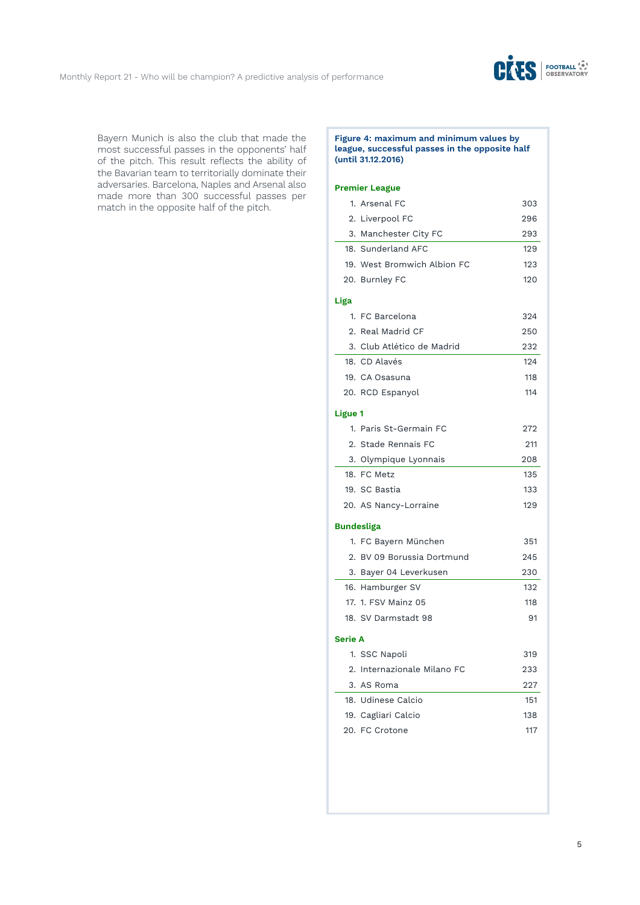

Bayern Munich is also the club that made the most successful passes in the opponents' half of the pitch. This result reflects the ability of the Bavarian team to territorially dominate their adversaries. Barcelona, Naples and Arsenal also made more than 300 successful passes per match in the opposite half of the pitch.

### **Figure 4: maximum and minimum values by league, successful passes in the opposite half (until 31.12.2016)**

|                | 1. Arsenal FC               | 303 |
|----------------|-----------------------------|-----|
|                | 2. Liverpool FC             | 296 |
| 3.             | Manchester City FC          | 293 |
|                | 18. Sunderland AFC          | 129 |
|                | 19. West Bromwich Albion FC | 123 |
|                | 20. Burnley FC              | 120 |
| Liga           |                             |     |
|                | 1. FC Barcelona             | 324 |
|                | 2. Real Madrid CF           | 250 |
|                | 3. Club Atlético de Madrid  | 232 |
|                | 18. CD Alavés               | 124 |
|                | 19. CA Osasuna              | 118 |
|                | 20. RCD Espanyol            | 114 |
| <b>Ligue 1</b> |                             |     |
|                | 1. Paris St-Germain FC      | 272 |
|                | 2. Stade Rennais FC         | 211 |
|                | 3. Olympique Lyonnais       | 208 |
|                | 18. FC Metz                 | 135 |
|                | 19. SC Bastia               | 133 |
|                | 20. AS Nancy-Lorraine       | 129 |
|                | <b>Bundesliga</b>           |     |
|                | 1. FC Bayern München        | 351 |
| 2.             | BV 09 Borussia Dortmund     | 245 |
|                | 3. Bayer 04 Leverkusen      | 230 |
|                | 16. Hamburger SV            | 132 |
|                | 17. 1. FSV Mainz 05         | 118 |
|                | 18. SV Darmstadt 98         | 91  |
| <b>Serie A</b> |                             |     |
|                | 1. SSC Napoli               | 319 |
|                | 2. Internazionale Milano FC | 233 |
|                | 3. AS Roma                  | 227 |
|                | 18. Udinese Calcio          | 151 |
|                | 19. Cagliari Calcio         | 138 |
|                | 20. FC Crotone              | 117 |
|                |                             |     |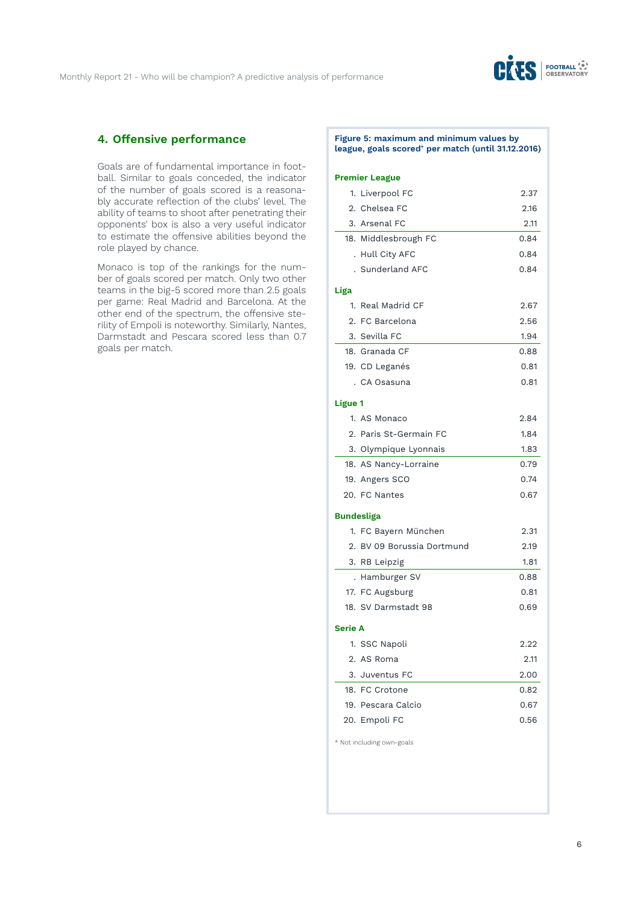

# **4. Offensive performance**

Goals are of fundamental importance in football. Similar to goals conceded, the indicator of the number of goals scored is a reasonably accurate reflection of the clubs' level. The ability of teams to shoot after penetrating their opponents' box is also a very useful indicator to estimate the offensive abilities beyond the role played by chance.

Monaco is top of the rankings for the number of goals scored per match. Only two other teams in the big-5 scored more than 2.5 goals per game: Real Madrid and Barcelona. At the other end of the spectrum, the offensive sterility of Empoli is noteworthy. Similarly, Nantes, Darmstadt and Pescara scored less than 0.7 goals per match.

### **Figure 5: maximum and minimum values by league, goals scored\* per match (until 31.12.2016)**

#### **Premier League**

|                | 1. Liverpool FC            | 2.37 |
|----------------|----------------------------|------|
|                | 2. Chelsea FC              | 2.16 |
|                | 3. Arsenal FC              | 2.11 |
|                | 18. Middlesbrough FC       | 0.84 |
|                | . Hull City AFC            | 0.84 |
|                | . Sunderland AFC           | 0.84 |
| Liga           |                            |      |
|                | 1. Real Madrid CF          | 2.67 |
|                | 2. FC Barcelona            | 2.56 |
|                | 3. Sevilla FC              | 1.94 |
|                | 18. Granada CF             | 0.88 |
|                | 19. CD Leganés             | 0.81 |
|                | . CA Osasuna               | 0.81 |
| <b>Ligue 1</b> |                            |      |
|                | 1. AS Monaco               | 2.84 |
|                | 2. Paris St-Germain FC     | 1.84 |
|                | 3. Olympique Lyonnais      | 1.83 |
|                | 18. AS Nancy-Lorraine      | 0.79 |
|                | 19. Angers SCO             | 0.74 |
|                | 20. FC Nantes              | 0.67 |
|                | Bundesliga                 |      |
|                | 1. FC Bayern München       | 2.31 |
|                | 2. BV 09 Borussia Dortmund | 2.19 |
|                | 3. RB Leipzig              | 1.81 |
|                | . Hamburger SV             | 0.88 |
|                | 17. FC Augsburg            | 0.81 |
|                | 18. SV Darmstadt 98        | 0.69 |
| <b>Serie A</b> |                            |      |
|                | 1. SSC Napoli              | 2.22 |
|                | 2. AS Roma                 | 2.11 |
|                | 3. Juventus FC             | 2.00 |
|                | 18. FC Crotone             | 0.82 |
|                | 19. Pescara Calcio         | 0.67 |
|                | 20. Empoli FC              | 0.56 |
|                |                            |      |

\* Not including own-goals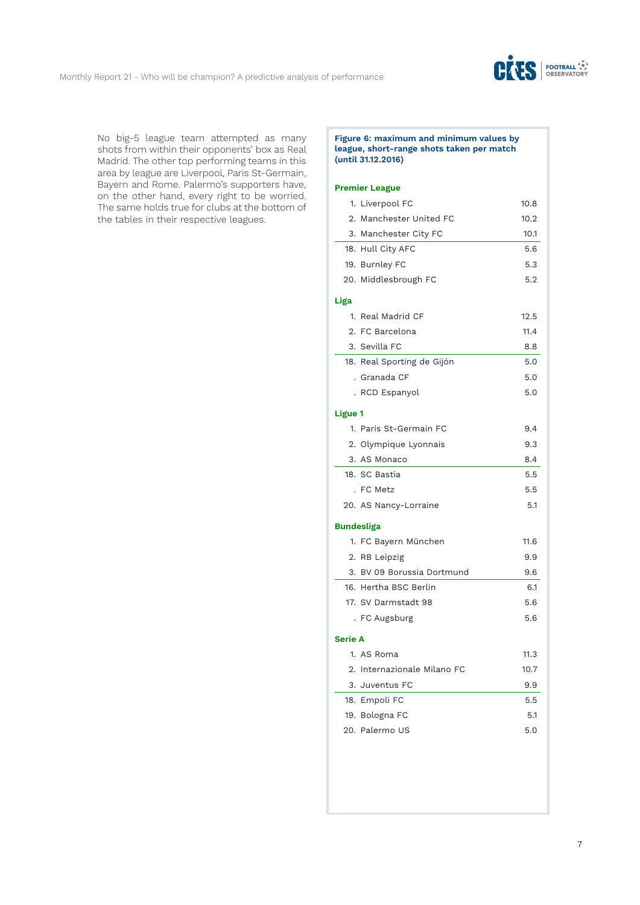

No big-5 league team attempted as many shots from within their opponents' box as Real Madrid. The other top performing teams in this area by league are Liverpool, Paris St-Germain, Bayern and Rome. Palermo's supporters have, on the other hand, every right to be worried. The same holds true for clubs at the bottom of the tables in their respective leagues.

### **Figure 6: maximum and minimum values by league, short-range shots taken per match (until 31.12.2016)**

|                | 1. Liverpool FC             | 10.8 |
|----------------|-----------------------------|------|
|                | 2. Manchester United FC     | 10.2 |
|                | 3. Manchester City FC       | 10.1 |
|                | 18. Hull City AFC           | 5.6  |
|                | 19. Burnley FC              | 5.3  |
|                | 20. Middlesbrough FC        | 5.2  |
| Liga           |                             |      |
|                | 1. Real Madrid CF           | 12.5 |
|                | 2. FC Barcelona             | 11.4 |
|                | 3. Sevilla FC               | 8.8  |
|                | 18. Real Sporting de Gijón  | 5.0  |
|                | . Granada CF                | 5.0  |
|                | . RCD Espanyol              | 5.0  |
| <b>Ligue 1</b> |                             |      |
|                | 1. Paris St-Germain FC      | 9.4  |
|                | 2. Olympique Lyonnais       | 9.3  |
|                | 3. AS Monaco                | 8.4  |
|                | 18. SC Bastia               | 5.5  |
|                | . FC Metz                   | 5.5  |
|                | 20. AS Nancy-Lorraine       | 5.1  |
|                | <b>Bundesliga</b>           |      |
|                | 1. FC Bayern München        | 11.6 |
|                | 2. RB Leipzig               | 9.9  |
|                | 3. BV 09 Borussia Dortmund  | 9.6  |
|                | 16. Hertha BSC Berlin       | 6.1  |
|                | 17. SV Darmstadt 98         | 5.6  |
|                | . FC Augsburg               | 5.6  |
| Serie A        |                             |      |
|                | 1. AS Roma                  | 11.3 |
|                | 2. Internazionale Milano FC | 10.7 |
|                | 3. Juventus FC              | 9.9  |
|                | 18. Empoli FC               | 5.5  |
|                | 19. Bologna FC              | 5.1  |
|                | 20. Palermo US              | 5.0  |
|                |                             |      |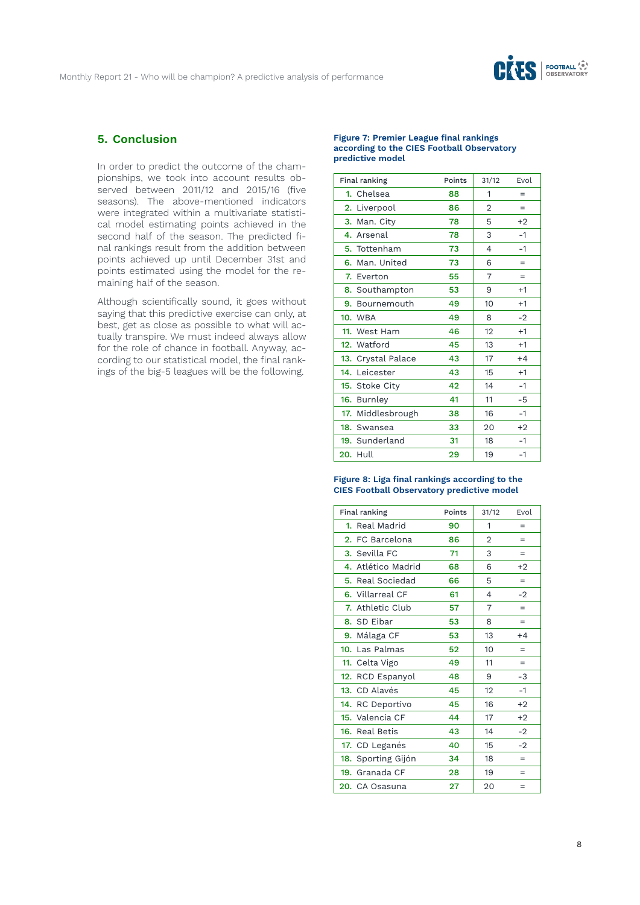

# **5. Conclusion**

In order to predict the outcome of the championships, we took into account results observed between 2011/12 and 2015/16 (five seasons). The above-mentioned indicators were integrated within a multivariate statistical model estimating points achieved in the second half of the season. The predicted final rankings result from the addition between points achieved up until December 31st and points estimated using the model for the remaining half of the season.

Although scientifically sound, it goes without saying that this predictive exercise can only, at best, get as close as possible to what will actually transpire. We must indeed always allow for the role of chance in football. Anyway, according to our statistical model, the final rankings of the big-5 leagues will be the following.

### **Figure 7: Premier League final rankings according to the CIES Football Observatory predictive model**

| Final ranking      | Points | 31/12          | Evol |
|--------------------|--------|----------------|------|
| 1. Chelsea         | 88     | 1              | $=$  |
| 2. Liverpool       | 86     | $\overline{2}$ | $=$  |
| 3. Man. City       | 78     | 5              | $+2$ |
| 4. Arsenal         | 78     | 3              | $-1$ |
| 5. Tottenham       | 73     | 4              | $-1$ |
| 6. Man. United     | 73     | 6              | $=$  |
| 7. Everton         | 55     | 7              | $=$  |
| 8. Southampton     | 53     | 9              | $+1$ |
| 9. Bournemouth     | 49     | 10             | $+1$ |
| <b>10. WBA</b>     | 49     | 8              | $-2$ |
| 11. West Ham       | 46     | 12             | $+1$ |
| 12. Watford        | 45     | 13             | $+1$ |
| 13. Crystal Palace | 43     | 17             | $+4$ |
| 14. Leicester      | 43     | 15             | $+1$ |
| 15. Stoke City     | 42     | 14             | $-1$ |
| 16. Burnley        | 41     | 11             | -5   |
| 17. Middlesbrough  | 38     | 16             | $-1$ |
| 18. Swansea        | 33     | 20             | $+2$ |
| 19. Sunderland     | 31     | 18             | $-1$ |
| <b>20. Hull</b>    | 29     | 19             | $-1$ |

### **Figure 8: Liga final rankings according to the CIES Football Observatory predictive model**

| Final ranking      | Points | 31/12 | Evol |
|--------------------|--------|-------|------|
| 1. Real Madrid     | 90     | 1     | $=$  |
| 2. FC Barcelona    | 86     | 2     | $=$  |
| 3. Sevilla FC      | 71     | 3     | $=$  |
| 4. Atlético Madrid | 68     | 6     | $+2$ |
| 5. Real Sociedad   | 66     | 5     | $=$  |
| 6. Villarreal CF   | 61     | 4     | $-2$ |
| 7. Athletic Club   | 57     | 7     | $=$  |
| 8. SD Eibar        | 53     | 8     | $=$  |
| 9. Málaga CF       | 53     | 13    | $+4$ |
| 10. Las Palmas     | 52     | 10    | $=$  |
| 11. Celta Vigo     | 49     | 11    | $=$  |
| 12. RCD Espanyol   | 48     | 9     | $-3$ |
| 13. CD Alavés      | 45     | 12    | $-1$ |
| 14. RC Deportivo   | 45     | 16    | $+2$ |
| 15. Valencia CF    | 44     | 17    | $+2$ |
| 16. Real Betis     | 43     | 14    | $-2$ |
| 17. CD Leganés     | 40     | 15    | $-2$ |
| 18. Sporting Gijón | 34     | 18    | $=$  |
| 19. Granada CF     | 28     | 19    | $=$  |
| 20. CA Osasuna     | 27     | 20    | $=$  |